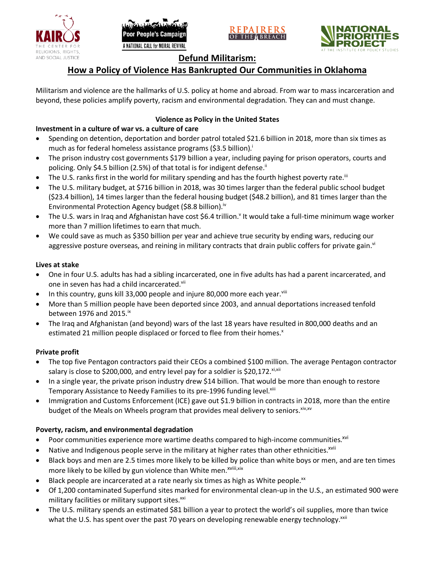





## **Defund Militarism:**

## **How a Policy of Violence Has Bankrupted Our Communities in Oklahoma**

Militarism and violence are the hallmarks of U.S. policy at home and abroad. From war to mass incarceration and beyond, these policies amplify poverty, racism and environmental degradation. They can and must change.

#### **Violence as Policy in the United States**

### **Investment in a culture of war vs. a culture of care**

- Spending on detention, deportation and border patrol totaled \$21.6 billion in 2018, more than six times as much as for federal homeless assistance programs (\$3.5 billion).<sup>i</sup>
- The prison industry cost governments \$179 billion a year, including paying for prison operators, courts and policing. Only \$4.5 billion (2.5%) of that total is for indigent defense.<sup>ii</sup>
- The U.S. ranks first in the world for military spending and has the fourth highest poverty rate.<sup>iii</sup>
- The U.S. military budget, at \$716 billion in 2018, was 30 times larger than the federal public school budget (\$23.4 billion), 14 times larger than the federal housing budget (\$48.2 billion), and 81 times larger than the Environmental Protection Agency budget (\$8.8 billion).<sup>iv</sup>
- The U.S. wars in Iraq and Afghanistan have cost \$6.4 trillion.<sup>v</sup> It would take a full-time minimum wage worker more than 7 million lifetimes to earn that much.
- We could save as much as \$350 billion per year and achieve true security by ending wars, reducing our aggressive posture overseas, and reining in military contracts that drain public coffers for private gain.<sup>vi</sup>

#### **Lives at stake**

- One in four U.S. adults has had a sibling incarcerated, one in five adults has had a parent incarcerated, and one in seven has had a child incarcerated.vii
- In this country, guns kill 33,000 people and injure 80,000 more each year. $v_{\text{lin}}$
- More than 5 million people have been deported since 2003, and annual deportations increased tenfold between 1976 and 2015. $\mathrm{i}$ <sup>x</sup>
- The Iraq and Afghanistan (and beyond) wars of the last 18 years have resulted in 800,000 deaths and an estimated 21 million people displaced or forced to flee from their homes.<sup>x</sup>

#### **Private profit**

- The top five Pentagon contractors paid their CEOs a combined \$100 million. The average Pentagon contractor salary is close to \$200,000, and entry level pay for a soldier is \$20,172. xi,xii
- In a single year, the private prison industry drew \$14 billion. That would be more than enough to restore Temporary Assistance to Needy Families to its pre-1996 funding level.<sup>xiii</sup>
- Immigration and Customs Enforcement (ICE) gave out \$1.9 billion in contracts in 2018, more than the entire budget of the Meals on Wheels program that provides meal delivery to seniors. Xiv, XV

#### **Poverty, racism, and environmental degradation**

- Poor communities experience more wartime deaths compared to high-income communities.<sup>xvi</sup>
- Native and Indigenous people serve in the military at higher rates than other ethnicities.<sup>xvii</sup>
- Black boys and men are 2.5 times more likely to be killed by police than white boys or men, and are ten times more likely to be killed by gun violence than White men.<sup>xviii,xix</sup>
- Black people are incarcerated at a rate nearly six times as high as White people.<sup>xx</sup>
- Of 1,200 contaminated Superfund sites marked for environmental clean-up in the U.S., an estimated 900 were military facilities or military support sites.<sup>xxi</sup>
- The U.S. military spends an estimated \$81 billion a year to protect the world's oil supplies, more than twice what the U.S. has spent over the past 70 years on developing renewable energy technology.<sup>xxii</sup>